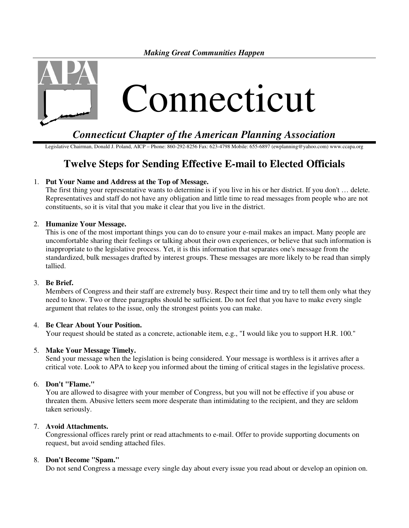*Making Great Communities Happen* 



*Connecticut Chapter of the American Planning Association* 

Legislative Chairman, Donald J. Poland, AICP – Phone: 860-292-8256 Fax: 623-4798 Mobile: 655-6897 (ewplanning@yahoo.com) www.ccapa.org

# **Twelve Steps for Sending Effective E-mail to Elected Officials**

# 1. **Put Your Name and Address at the Top of Message.**

The first thing your representative wants to determine is if you live in his or her district. If you don't … delete. Representatives and staff do not have any obligation and little time to read messages from people who are not constituents, so it is vital that you make it clear that you live in the district.

# 2. **Humanize Your Message.**

This is one of the most important things you can do to ensure your e-mail makes an impact. Many people are uncomfortable sharing their feelings or talking about their own experiences, or believe that such information is inappropriate to the legislative process. Yet, it is this information that separates one's message from the standardized, bulk messages drafted by interest groups. These messages are more likely to be read than simply tallied.

### 3. **Be Brief.**

Members of Congress and their staff are extremely busy. Respect their time and try to tell them only what they need to know. Two or three paragraphs should be sufficient. Do not feel that you have to make every single argument that relates to the issue, only the strongest points you can make.

### 4. **Be Clear About Your Position.**

Your request should be stated as a concrete, actionable item, e.g., "I would like you to support H.R. 100."

### 5. **Make Your Message Timely.**

Send your message when the legislation is being considered. Your message is worthless is it arrives after a critical vote. Look to APA to keep you informed about the timing of critical stages in the legislative process.

### 6. **Don't "Flame."**

You are allowed to disagree with your member of Congress, but you will not be effective if you abuse or threaten them. Abusive letters seem more desperate than intimidating to the recipient, and they are seldom taken seriously.

### 7. **Avoid Attachments.**

Congressional offices rarely print or read attachments to e-mail. Offer to provide supporting documents on request, but avoid sending attached files.

## 8. **Don't Become "Spam."**

Do not send Congress a message every single day about every issue you read about or develop an opinion on.